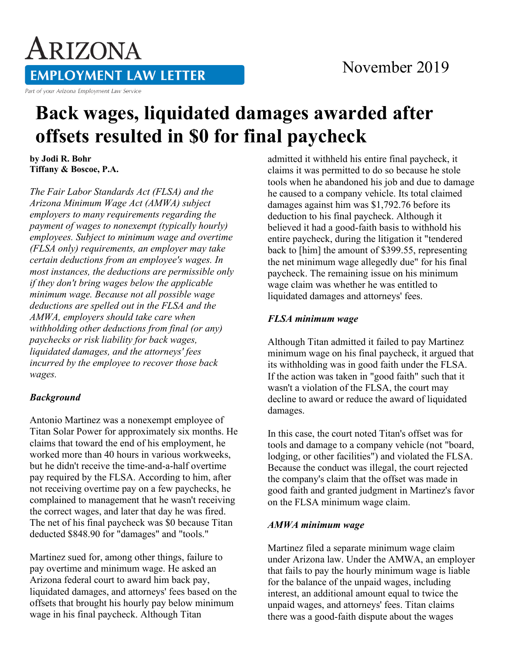## ARIZONA **EMPLOYMENT LAW LETTER** Part of your Arizona Employment Law Service

# **Back wages, liquidated damages awarded after offsets resulted in \$0 for final paycheck**

**by Jodi R. Bohr Tiffany & Boscoe, P.A.**

*The Fair Labor Standards Act (FLSA) and the Arizona Minimum Wage Act (AMWA) subject employers to many requirements regarding the payment of wages to nonexempt (typically hourly) employees. Subject to minimum wage and overtime (FLSA only) requirements, an employer may take certain deductions from an employee's wages. In most instances, the deductions are permissible only if they don't bring wages below the applicable minimum wage. Because not all possible wage deductions are spelled out in the FLSA and the AMWA, employers should take care when withholding other deductions from final (or any) paychecks or risk liability for back wages, liquidated damages, and the attorneys' fees incurred by the employee to recover those back wages.*

#### *Background*

Antonio Martinez was a nonexempt employee of Titan Solar Power for approximately six months. He claims that toward the end of his employment, he worked more than 40 hours in various workweeks, but he didn't receive the time-and-a-half overtime pay required by the FLSA. According to him, after not receiving overtime pay on a few paychecks, he complained to management that he wasn't receiving the correct wages, and later that day he was fired. The net of his final paycheck was \$0 because Titan deducted \$848.90 for "damages" and "tools."

Martinez sued for, among other things, failure to pay overtime and minimum wage. He asked an Arizona federal court to award him back pay, liquidated damages, and attorneys' fees based on the offsets that brought his hourly pay below minimum wage in his final paycheck. Although Titan

admitted it withheld his entire final paycheck, it claims it was permitted to do so because he stole tools when he abandoned his job and due to damage he caused to a company vehicle. Its total claimed damages against him was \$1,792.76 before its deduction to his final paycheck. Although it believed it had a good-faith basis to withhold his entire paycheck, during the litigation it "tendered back to [him] the amount of \$399.55, representing the net minimum wage allegedly due" for his final paycheck. The remaining issue on his minimum wage claim was whether he was entitled to liquidated damages and attorneys' fees.

### *FLSA minimum wage*

Although Titan admitted it failed to pay Martinez minimum wage on his final paycheck, it argued that its withholding was in good faith under the FLSA. If the action was taken in "good faith" such that it wasn't a violation of the FLSA, the court may decline to award or reduce the award of liquidated damages.

In this case, the court noted Titan's offset was for tools and damage to a company vehicle (not "board, lodging, or other facilities") and violated the FLSA. Because the conduct was illegal, the court rejected the company's claim that the offset was made in good faith and granted judgment in Martinez's favor on the FLSA minimum wage claim.

#### *AMWA minimum wage*

Martinez filed a separate minimum wage claim under Arizona law. Under the AMWA, an employer that fails to pay the hourly minimum wage is liable for the balance of the unpaid wages, including interest, an additional amount equal to twice the unpaid wages, and attorneys' fees. Titan claims there was a good-faith dispute about the wages